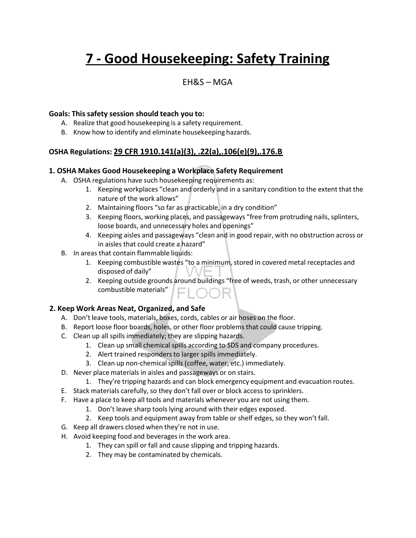# **7 - Good Housekeeping: Safety Training**

### EH&S – MGA

#### **Goals: This safety session should teach you to:**

- A. Realize that good housekeeping is a safety requirement.
- B. Know how to identify and eliminate housekeeping hazards.

#### **OSHA Regulations: 29 CFR 1910.141(a)(3), .22(a),.106(e)(9),.176.B**

#### **1. OSHA Makes Good Housekeeping a Workplace Safety Requirement**

- A. OSHA regulations have such housekeeping requirements as:
	- 1. Keeping workplaces "clean and orderly and in a sanitary condition to the extent that the nature of the work allows"
	- 2. Maintaining floors "so far as practicable, in a dry condition"
	- 3. Keeping floors, working places, and passageways "free from protruding nails, splinters, loose boards, and unnecessary holes and openings"
	- 4. Keeping aisles and passageways "clean and in good repair, with no obstruction across or in aisles that could create a hazard"
- B. In areas that contain flammable liquids:
	- 1. Keeping combustible wastes "to a minimum, stored in covered metal receptacles and disposed of daily"
	- 2. Keeping outside grounds around buildings "free of weeds, trash, or other unnecessary combustible materials"

#### **2. Keep Work Areas Neat, Organized, and Safe**

- A. Don't leave tools, materials, boxes, cords, cables or air hoses on the floor.
- B. Report loose floor boards, holes, or other floor problemsthat could cause tripping.
- C. Clean up all spills immediately; they are slipping hazards.
	- 1. Clean up small chemical spills according to SDS and company procedures.
	- 2. Alert trained responders to larger spills immediately.
	- 3. Clean up non-chemical spills (coffee, water, etc.) immediately.
- D. Never place materials in aisles and passageways or on stairs.
	- 1. They're tripping hazards and can block emergency equipment and evacuation routes.
- E. Stack materials carefully, so they don't fall over or block access to sprinklers.
- F. Have a place to keep all tools and materials whenever you are not using them.
	- 1. Don't leave sharp tools lying around with their edges exposed.
	- 2. Keep tools and equipment away from table or shelf edges, so they won't fall.
- G. Keep all drawers closed when they're not in use.
- H. Avoid keeping food and beverages in the work area.
	- 1. They can spill or fall and cause slipping and tripping hazards.
	- 2. They may be contaminated by chemicals.